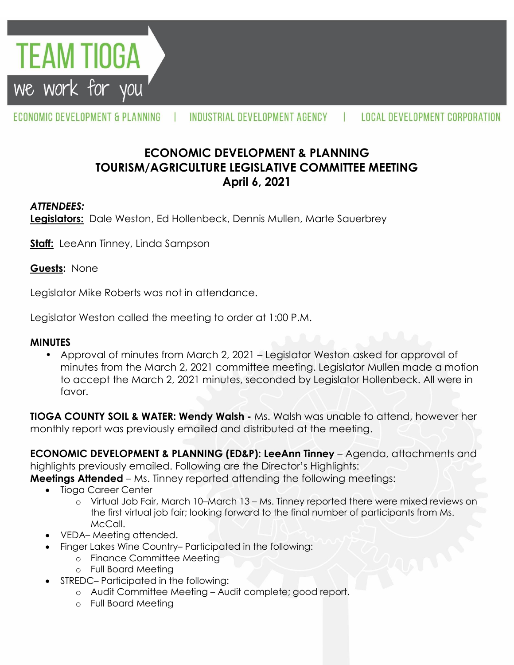

ECONOMIC DEVELOPMENT & PLANNING

INDUSTRIAL DEVELOPMENT AGENCY

H.

# **ECONOMIC DEVELOPMENT & PLANNING TOURISM/AGRICULTURE LEGISLATIVE COMMITTEE MEETING April 6, 2021**

#### *ATTENDEES:*

**Legislators:** Dale Weston, Ed Hollenbeck, Dennis Mullen, Marte Sauerbrey

**Staff:** LeeAnn Tinney, Linda Sampson

**Guests:** None

Legislator Mike Roberts was not in attendance.

Legislator Weston called the meeting to order at 1:00 P.M.

#### **MINUTES**

• Approval of minutes from March 2, 2021 – Legislator Weston asked for approval of minutes from the March 2, 2021 committee meeting. Legislator Mullen made a motion to accept the March 2, 2021 minutes, seconded by Legislator Hollenbeck. All were in favor.

**TIOGA COUNTY SOIL & WATER: Wendy Walsh -** Ms. Walsh was unable to attend, however her monthly report was previously emailed and distributed at the meeting.

**ECONOMIC DEVELOPMENT & PLANNING (ED&P): LeeAnn Tinney** – Agenda, attachments and highlights previously emailed. Following are the Director's Highlights: **Meetings Attended** – Ms. Tinney reported attending the following meetings:

- Tioga Career Center
	- o Virtual Job Fair, March 10–March 13 Ms. Tinney reported there were mixed reviews on the first virtual job fair; looking forward to the final number of participants from Ms. McCall.
- VEDA– Meeting attended.
- Finger Lakes Wine Country– Participated in the following:
	- o Finance Committee Meeting
	- o Full Board Meeting
	- STREDC– Participated in the following:
		- o Audit Committee Meeting Audit complete; good report.
		- o Full Board Meeting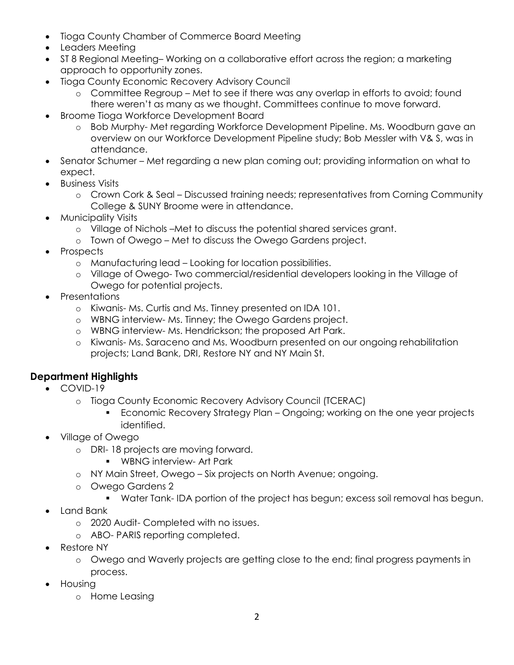- Tioga County Chamber of Commerce Board Meeting
- Leaders Meeting
- ST 8 Regional Meeting– Working on a collaborative effort across the region; a marketing approach to opportunity zones.
- Tioga County Economic Recovery Advisory Council
	- o Committee Regroup Met to see if there was any overlap in efforts to avoid; found there weren't as many as we thought. Committees continue to move forward.
- Broome Tioga Workforce Development Board
	- o Bob Murphy- Met regarding Workforce Development Pipeline. Ms. Woodburn gave an overview on our Workforce Development Pipeline study; Bob Messler with V& S, was in attendance.
- Senator Schumer Met regarding a new plan coming out; providing information on what to expect.
- **•** Business Visits
	- o Crown Cork & Seal Discussed training needs; representatives from Corning Community College & SUNY Broome were in attendance.
- Municipality Visits
	- o Village of Nichols –Met to discuss the potential shared services grant.
	- o Town of Owego Met to discuss the Owego Gardens project.
- Prospects
	- o Manufacturing lead Looking for location possibilities.
	- o Village of Owego- Two commercial/residential developers looking in the Village of Owego for potential projects.
- Presentations
	- o Kiwanis- Ms. Curtis and Ms. Tinney presented on IDA 101.
	- o WBNG interview- Ms. Tinney; the Owego Gardens project.
	- o WBNG interview- Ms. Hendrickson; the proposed Art Park.
	- o Kiwanis- Ms. Saraceno and Ms. Woodburn presented on our ongoing rehabilitation projects; Land Bank, DRI, Restore NY and NY Main St.

## **Department Highlights**

- COVID-19
	- o Tioga County Economic Recovery Advisory Council (TCERAC)
		- **Economic Recovery Strategy Plan Ongoing; working on the one year projects** identified.
- Village of Owego
	- o DRI- 18 projects are moving forward.
		- **WBNG interview- Art Park**
	- o NY Main Street, Owego Six projects on North Avenue; ongoing.
	- o Owego Gardens 2
		- **Water Tank-IDA portion of the project has begun; excess soil removal has begun.**
- Land Bank
	- o 2020 Audit- Completed with no issues.
	- o ABO- PARIS reporting completed.
- Restore NY
	- o Owego and Waverly projects are getting close to the end; final progress payments in process.
- Housing
	- o Home Leasing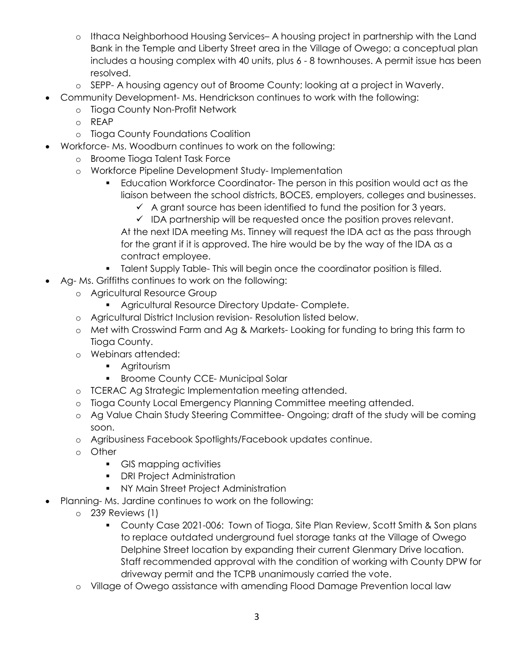- o Ithaca Neighborhood Housing Services– A housing project in partnership with the Land Bank in the Temple and Liberty Street area in the Village of Owego; a conceptual plan includes a housing complex with 40 units, plus 6 - 8 townhouses. A permit issue has been resolved.
- o SEPP- A housing agency out of Broome County; looking at a project in Waverly.
- Community Development- Ms. Hendrickson continues to work with the following:
	- o Tioga County Non-Profit Network
	- o REAP
	- o Tioga County Foundations Coalition
- Workforce- Ms. Woodburn continues to work on the following:
	- o Broome Tioga Talent Task Force
	- o Workforce Pipeline Development Study- Implementation
		- Education Workforce Coordinator- The person in this position would act as the liaison between the school districts, BOCES, employers, colleges and businesses.
			- $\checkmark$  A grant source has been identified to fund the position for 3 years.
			- $\checkmark$  IDA partnership will be requested once the position proves relevant.

At the next IDA meeting Ms. Tinney will request the IDA act as the pass through for the grant if it is approved. The hire would be by the way of the IDA as a contract employee.

- **Talent Supply Table- This will begin once the coordinator position is filled.**
- Ag- Ms. Griffiths continues to work on the following:
	- o Agricultural Resource Group
		- **Agricultural Resource Directory Update- Complete.**
	- o Agricultural District Inclusion revision- Resolution listed below.
	- o Met with Crosswind Farm and Ag & Markets- Looking for funding to bring this farm to Tioga County.
	- o Webinars attended:
		- **Agritourism**
		- **Broome County CCE- Municipal Solar**
	- o TCERAC Ag Strategic Implementation meeting attended.
	- o Tioga County Local Emergency Planning Committee meeting attended.
	- o Ag Value Chain Study Steering Committee- Ongoing; draft of the study will be coming soon.
	- o Agribusiness Facebook Spotlights/Facebook updates continue.
	- o Other
		- GIS mapping activities
		- **•** DRI Project Administration
		- **NY Main Street Project Administration**
- Planning- Ms. Jardine continues to work on the following:
	- o 239 Reviews (1)
		- County Case 2021-006: Town of Tioga, Site Plan Review, Scott Smith & Son plans to replace outdated underground fuel storage tanks at the Village of Owego Delphine Street location by expanding their current Glenmary Drive location. Staff recommended approval with the condition of working with County DPW for driveway permit and the TCPB unanimously carried the vote.
	- o Village of Owego assistance with amending Flood Damage Prevention local law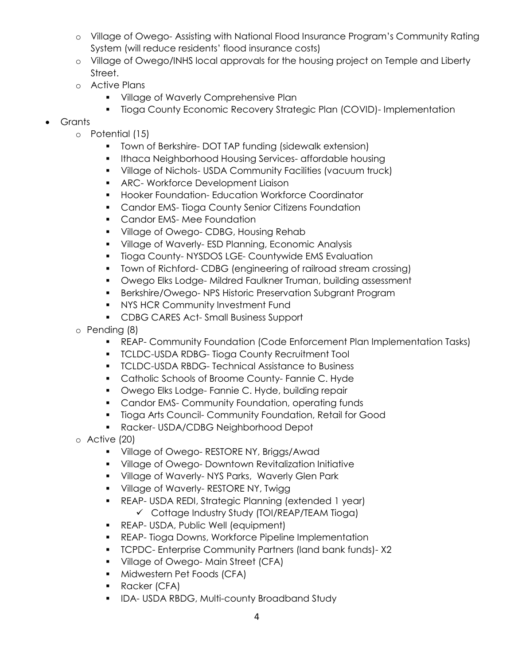- o Village of Owego- Assisting with National Flood Insurance Program's Community Rating System (will reduce residents' flood insurance costs)
- o Village of Owego/INHS local approvals for the housing project on Temple and Liberty Street.
- o Active Plans
	- **Village of Waverly Comprehensive Plan**
	- Tioga County Economic Recovery Strategic Plan (COVID)- Implementation
- Grants
	- o Potential (15)
		- **T** Town of Berkshire-DOT TAP funding (sidewalk extension)
		- **Ithaca Neighborhood Housing Services- affordable housing**
		- Village of Nichols- USDA Community Facilities (vacuum truck)
		- **ARC- Workforce Development Liaison**
		- **Hooker Foundation- Education Workforce Coordinator**
		- **Candor EMS- Tioga County Senior Citizens Foundation**
		- **Candor EMS-Mee Foundation**
		- **Village of Owego- CDBG, Housing Rehab**
		- **Village of Waverly-ESD Planning, Economic Analysis**
		- **Tioga County-NYSDOS LGE- Countywide EMS Evaluation**
		- Town of Richford- CDBG (engineering of railroad stream crossing)
		- **Owego Elks Lodge- Mildred Faulkner Truman, building assessment**
		- Berkshire/Owego- NPS Historic Preservation Subgrant Program
		- **NYS HCR Community Investment Fund**
		- **CDBG CARES Act-Small Business Support**
	- o Pending (8)
		- REAP- Community Foundation (Code Enforcement Plan Implementation Tasks)
		- **TCLDC-USDA RDBG- Tioga County Recruitment Tool**
		- **TCLDC-USDA RBDG- Technical Assistance to Business**
		- **Catholic Schools of Broome County-Fannie C. Hyde**
		- **Owego Elks Lodge- Fannie C. Hyde, building repair**
		- **Candor EMS- Community Foundation, operating funds**
		- **Tioga Arts Council- Community Foundation, Retail for Good**
		- **Racker- USDA/CDBG Neighborhood Depot**
	- o Active (20)
		- **Village of Owego- RESTORE NY, Briggs/Awad**
		- Village of Owego- Downtown Revitalization Initiative
		- **Village of Waverly-NYS Parks, Waverly Glen Park**
		- **Village of Waverly- RESTORE NY, Twigg**
		- REAP- USDA REDI, Strategic Planning (extended 1 year)  $\checkmark$  Cottage Industry Study (TOI/REAP/TEAM Tioga)
		- **REAP- USDA, Public Well (equipment)**
		- **REAP-Tioga Downs, Workforce Pipeline Implementation**
		- **TCPDC- Enterprise Community Partners (land bank funds)-X2**
		- **Village of Owego-Main Street (CFA)**
		- **Midwestern Pet Foods (CFA)**
		- **Racker (CFA)**
		- **IDA-USDA RBDG, Multi-county Broadband Study**